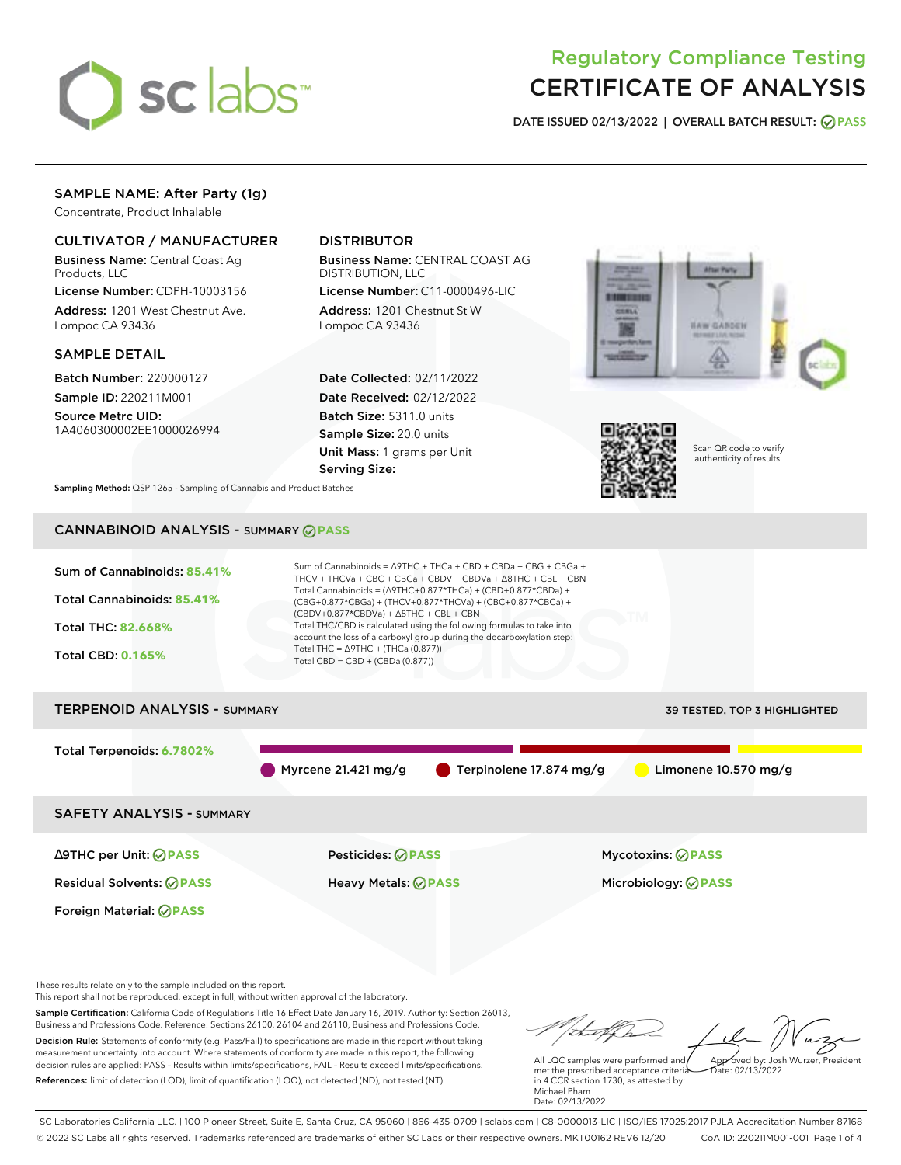

# Regulatory Compliance Testing CERTIFICATE OF ANALYSIS

**DATE ISSUED 02/13/2022 | OVERALL BATCH RESULT: PASS**

## SAMPLE NAME: After Party (1g)

Concentrate, Product Inhalable

## CULTIVATOR / MANUFACTURER

Business Name: Central Coast Ag Products, LLC

License Number: CDPH-10003156 Address: 1201 West Chestnut Ave. Lompoc CA 93436

## SAMPLE DETAIL

Batch Number: 220000127 Sample ID: 220211M001

Source Metrc UID: 1A4060300002EE1000026994

## DISTRIBUTOR

Business Name: CENTRAL COAST AG DISTRIBUTION, LLC

License Number: C11-0000496-LIC Address: 1201 Chestnut St W Lompoc CA 93436

Date Collected: 02/11/2022 Date Received: 02/12/2022 Batch Size: 5311.0 units Sample Size: 20.0 units Unit Mass: 1 grams per Unit Serving Size:





Scan QR code to verify authenticity of results.

**Sampling Method:** QSP 1265 - Sampling of Cannabis and Product Batches

## CANNABINOID ANALYSIS - SUMMARY **PASS**



This report shall not be reproduced, except in full, without written approval of the laboratory.

Sample Certification: California Code of Regulations Title 16 Effect Date January 16, 2019. Authority: Section 26013, Business and Professions Code. Reference: Sections 26100, 26104 and 26110, Business and Professions Code. Decision Rule: Statements of conformity (e.g. Pass/Fail) to specifications are made in this report without taking measurement uncertainty into account. Where statements of conformity are made in this report, the following decision rules are applied: PASS – Results within limits/specifications, FAIL – Results exceed limits/specifications.

References: limit of detection (LOD), limit of quantification (LOQ), not detected (ND), not tested (NT)

Approved by: Josh Wurzer, President

 $\frac{1}{2}$ ate: 02/13/2022

All LQC samples were performed and met the prescribed acceptance criteria in 4 CCR section 1730, as attested by: Michael Pham Date: 02/13/2022

SC Laboratories California LLC. | 100 Pioneer Street, Suite E, Santa Cruz, CA 95060 | 866-435-0709 | sclabs.com | C8-0000013-LIC | ISO/IES 17025:2017 PJLA Accreditation Number 87168 © 2022 SC Labs all rights reserved. Trademarks referenced are trademarks of either SC Labs or their respective owners. MKT00162 REV6 12/20 CoA ID: 220211M001-001 Page 1 of 4